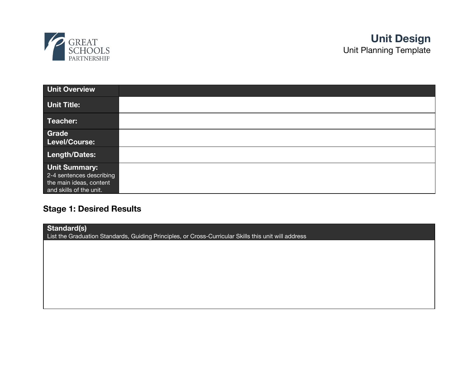

| <b>Unit Overview</b>                                                                                   |  |
|--------------------------------------------------------------------------------------------------------|--|
| <b>Unit Title:</b>                                                                                     |  |
| Teacher:                                                                                               |  |
| Grade<br>Level/Course:                                                                                 |  |
| Length/Dates:                                                                                          |  |
| <b>Unit Summary:</b><br>2-4 sentences describing<br>the main ideas, content<br>and skills of the unit. |  |

# **Stage 1: Desired Results**

| Standard(s)<br>List the Graduation Standards, Guiding Principles, or Cross-Curricular Skills this unit will address |  |  |  |
|---------------------------------------------------------------------------------------------------------------------|--|--|--|
|                                                                                                                     |  |  |  |
|                                                                                                                     |  |  |  |
|                                                                                                                     |  |  |  |
|                                                                                                                     |  |  |  |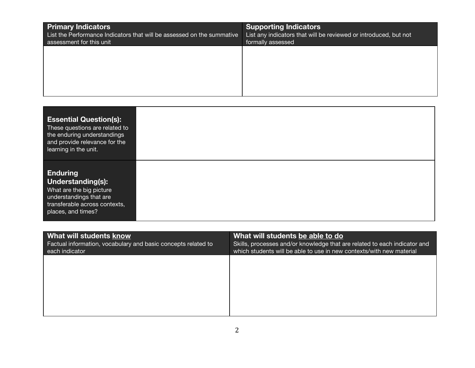| <b>Primary Indicators</b><br>List the Performance Indicators that will be assessed on the summative<br>assessment for this unit | <b>Supporting Indicators</b><br>List any indicators that will be reviewed or introduced, but not<br>formally assessed |
|---------------------------------------------------------------------------------------------------------------------------------|-----------------------------------------------------------------------------------------------------------------------|
|                                                                                                                                 |                                                                                                                       |
|                                                                                                                                 |                                                                                                                       |

| <b>Essential Question(s):</b><br>These questions are related to<br>the enduring understandings<br>and provide relevance for the<br>learning in the unit. |  |
|----------------------------------------------------------------------------------------------------------------------------------------------------------|--|
| <b>Enduring</b><br>Understanding(s):<br>What are the big picture<br>understandings that are<br>transferable across contexts,<br>places, and times?       |  |

| What will students know                                                         | What will students be able to do                                                                                                                  |
|---------------------------------------------------------------------------------|---------------------------------------------------------------------------------------------------------------------------------------------------|
| Factual information, vocabulary and basic concepts related to<br>each indicator | Skills, processes and/or knowledge that are related to each indicator and<br>which students will be able to use in new contexts/with new material |
|                                                                                 |                                                                                                                                                   |
|                                                                                 |                                                                                                                                                   |
|                                                                                 |                                                                                                                                                   |
|                                                                                 |                                                                                                                                                   |
|                                                                                 |                                                                                                                                                   |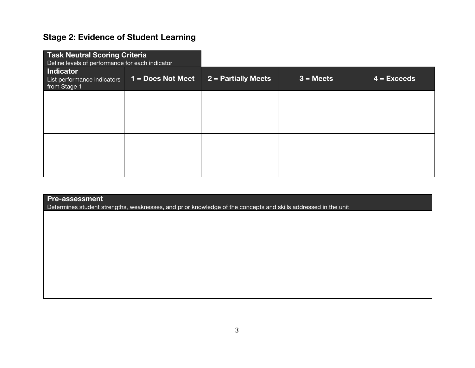## **Stage 2: Evidence of Student Learning**

| <b>Task Neutral Scoring Criteria</b><br>Define levels of performance for each indicator |                     |                     |             |               |
|-----------------------------------------------------------------------------------------|---------------------|---------------------|-------------|---------------|
| <b>Indicator</b><br>List performance indicators<br>from Stage 1                         | $1 = Does Not Meet$ | 2 = Partially Meets | $3 = Meets$ | $4 = Exceeds$ |
|                                                                                         |                     |                     |             |               |
|                                                                                         |                     |                     |             |               |
|                                                                                         |                     |                     |             |               |
|                                                                                         |                     |                     |             |               |

## **Pre-assessment**

Determines student strengths, weaknesses, and prior knowledge of the concepts and skills addressed in the unit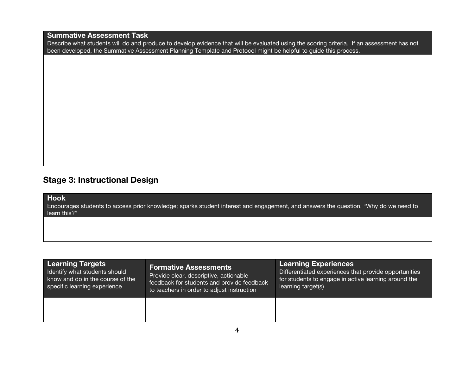**Summative Assessment Task**

Describe what students will do and produce to develop evidence that will be evaluated using the scoring criteria. If an assessment has not been developed, the Summative Assessment Planning Template and Protocol might be helpful to guide this process.

## **Stage 3: Instructional Design**

**Hook**

Encourages students to access prior knowledge; sparks student interest and engagement, and answers the question, "Why do we need to learn this?"

| <b>Learning Targets</b>          | <b>Formative Assessments</b>               | <b>Learning Experiences</b>                           |
|----------------------------------|--------------------------------------------|-------------------------------------------------------|
| I Identify what students should  | Provide clear, descriptive, actionable     | Differentiated experiences that provide opportunities |
| know and do in the course of the | feedback for students and provide feedback | for students to engage in active learning around the  |
| specific learning experience     | to teachers in order to adjust instruction | learning target(s)                                    |
|                                  |                                            |                                                       |